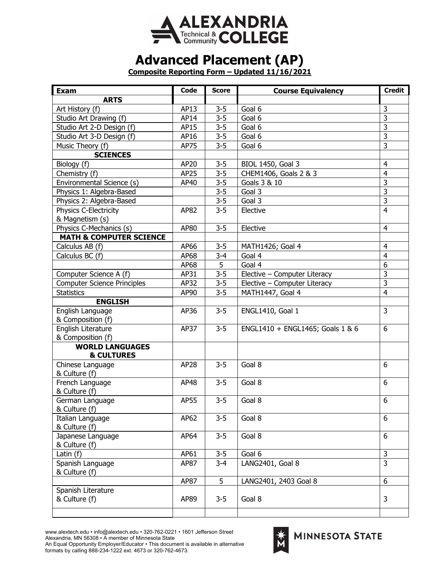

## **Advanced Placement (AP)**

**Composite Reporting Form – Updated 11/16/2021**

| Exam                               | Code | <b>Score</b> | <b>Course Equivalency</b>        | <b>Credit</b>           |
|------------------------------------|------|--------------|----------------------------------|-------------------------|
| <b>ARTS</b>                        |      |              |                                  |                         |
| Art History (f)                    | AP13 | $3 - 5$      | Goal 6                           | 3                       |
| Studio Art Drawing (f)             | AP14 | $3 - 5$      | Goal 6                           | 3                       |
| Studio Art 2-D Design (f)          | AP15 | $3 - 5$      | Goal 6                           | 3                       |
| Studio Art 3-D Design (f)          | AP16 | $3 - 5$      | Goal 6                           | $\overline{3}$          |
| Music Theory (f)                   | AP75 | $3 - 5$      | Goal 6                           | 3                       |
| <b>SCIENCES</b>                    |      |              |                                  |                         |
| Biology (f)                        | AP20 | $3 - 5$      | BIOL 1450, Goal 3                | 4                       |
| Chemistry (f)                      | AP25 | $3 - 5$      | CHEM1406, Goals 2 & 3            | $\overline{4}$          |
| Environmental Science (s)          | AP40 | $3 - 5$      | Goals 3 & 10                     | $\overline{3}$          |
| Physics 1: Algebra-Based           |      | $3 - 5$      | Goal 3                           | $\overline{3}$          |
| Physics 2: Algebra-Based           |      | $3 - 5$      | Goal 3                           | $\overline{3}$          |
| Physics C-Electricity              | AP82 | $3 - 5$      | Elective                         | $\overline{4}$          |
| & Magnetism (s)                    |      |              |                                  |                         |
| Physics C-Mechanics (s)            | AP80 | $3 - 5$      | Elective                         | $\overline{4}$          |
| <b>MATH &amp; COMPUTER SCIENCE</b> |      |              |                                  |                         |
| Calculus AB (f)                    | AP66 | $3 - 5$      | MATH1426; Goal 4                 | $\overline{4}$          |
| Calculus BC (f)                    | AP68 | $3 - 4$      | Goal 4                           | $\overline{4}$          |
|                                    | AP68 | 5            | Goal 4                           | 6                       |
| Computer Science A (f)             | AP31 | $3 - 5$      | Elective - Computer Literacy     | 3                       |
| <b>Computer Science Principles</b> | AP32 | $3 - 5$      | Elective - Computer Literacy     | $\overline{\mathbf{3}}$ |
| <b>Statistics</b>                  | AP90 | $3 - 5$      | MATH1447, Goal 4                 | $\overline{4}$          |
| <b>ENGLISH</b>                     |      |              |                                  |                         |
| English Language                   | AP36 | $3 - 5$      | ENGL1410, Goal 1                 | 3                       |
| & Composition (f)                  |      |              |                                  |                         |
| English Literature                 | AP37 | $3 - 5$      | ENGL1410 + ENGL1465; Goals 1 & 6 | 6                       |
| & Composition (f)                  |      |              |                                  |                         |
| <b>WORLD LANGUAGES</b>             |      |              |                                  |                         |
| <b>&amp; CULTURES</b>              |      |              |                                  |                         |
| Chinese Language                   | AP28 | $3 - 5$      | Goal 8                           | 6                       |
| & Culture (f)                      |      |              |                                  |                         |
| French Language                    | AP48 | $3 - 5$      | Goal 8                           | 6                       |
| & Culture (f)                      |      |              |                                  |                         |
| German Language                    | AP55 | $3 - 5$      | Goal 8                           | 6                       |
| & Culture (f)                      |      |              |                                  |                         |
| Italian Language                   | AP62 | $3 - 5$      | Goal 8                           | 6                       |
| & Culture (f)                      |      |              |                                  |                         |
| Japanese Language                  | AP64 | $3 - 5$      | Goal 8                           | 6                       |
| & Culture (f)                      |      |              |                                  | 3                       |
| Latin $(f)$                        | AP61 | $3 - 5$      | Goal 6                           | 3                       |
| Spanish Language                   | AP87 | $3 - 4$      | LANG2401, Goal 8                 |                         |
| & Culture (f)                      | AP87 | 5            | LANG2401, 2403 Goal 8            | 6                       |
| Spanish Literature                 |      |              |                                  |                         |
| & Culture (f)                      | AP89 | $3 - 5$      | Goal 8                           | 3                       |
|                                    |      |              |                                  |                         |
|                                    |      |              |                                  |                         |

www.alextech.edu • info@alextech.edu • 320-762-0221 • 1601 Jefferson Street Alexandria, MN 56308 • A member of Minnesota State

An Equal Opportunity Employer/Educator • This document is available in alternative formats by calling 888-234-1222 ext. 4673 or 320-762-4673.